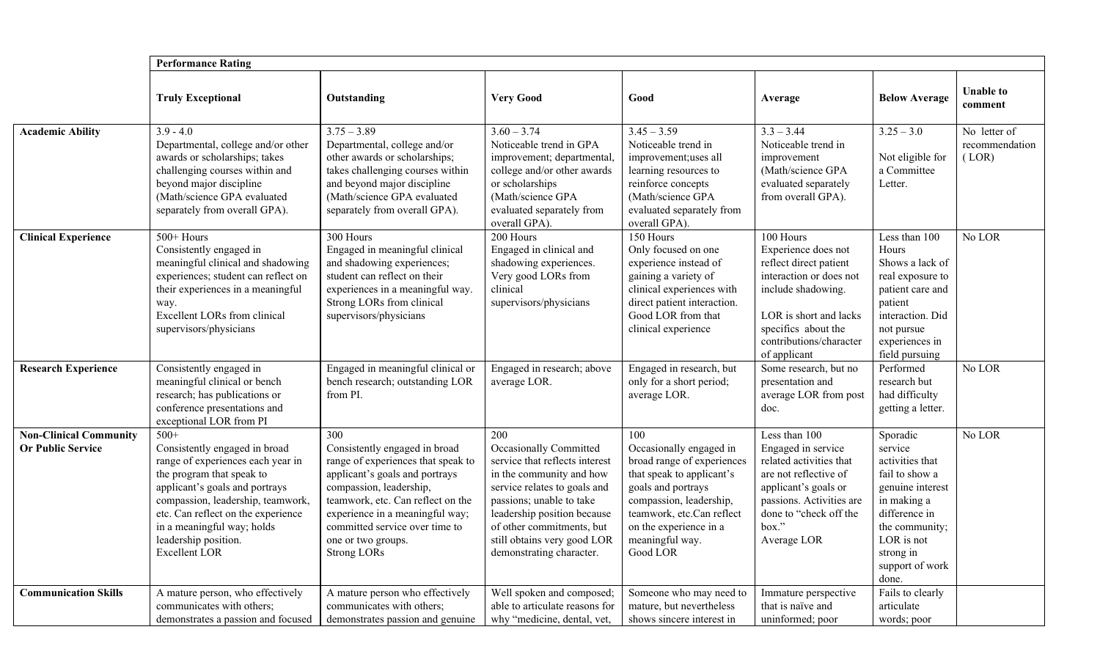|                                                           | <b>Performance Rating</b>                                                                                                                                                                                                                                                                            |                                                                                                                                                                                                                                                                                               |                                                                                                                                                                                                                                                                                       |                                                                                                                                                                                                                                  |                                                                                                                                                                                                         |                                                                                                                                                                                       |                                         |  |  |  |
|-----------------------------------------------------------|------------------------------------------------------------------------------------------------------------------------------------------------------------------------------------------------------------------------------------------------------------------------------------------------------|-----------------------------------------------------------------------------------------------------------------------------------------------------------------------------------------------------------------------------------------------------------------------------------------------|---------------------------------------------------------------------------------------------------------------------------------------------------------------------------------------------------------------------------------------------------------------------------------------|----------------------------------------------------------------------------------------------------------------------------------------------------------------------------------------------------------------------------------|---------------------------------------------------------------------------------------------------------------------------------------------------------------------------------------------------------|---------------------------------------------------------------------------------------------------------------------------------------------------------------------------------------|-----------------------------------------|--|--|--|
|                                                           | <b>Truly Exceptional</b>                                                                                                                                                                                                                                                                             | Outstanding                                                                                                                                                                                                                                                                                   | <b>Very Good</b>                                                                                                                                                                                                                                                                      | Good                                                                                                                                                                                                                             | Average                                                                                                                                                                                                 | <b>Below Average</b>                                                                                                                                                                  | <b>Unable to</b><br>comment             |  |  |  |
| <b>Academic Ability</b>                                   | $3.9 - 4.0$<br>Departmental, college and/or other<br>awards or scholarships; takes<br>challenging courses within and<br>beyond major discipline<br>(Math/science GPA evaluated<br>separately from overall GPA).                                                                                      | $3.75 - 3.89$<br>Departmental, college and/or<br>other awards or scholarships;<br>takes challenging courses within<br>and beyond major discipline<br>(Math/science GPA evaluated<br>separately from overall GPA).                                                                             | $3.60 - 3.74$<br>Noticeable trend in GPA<br>improvement; departmental,<br>college and/or other awards<br>or scholarships<br>(Math/science GPA<br>evaluated separately from<br>overall GPA).                                                                                           | $3.45 - 3.59$<br>Noticeable trend in<br>improvement;uses all<br>learning resources to<br>reinforce concepts<br>(Math/science GPA<br>evaluated separately from<br>overall GPA).                                                   | $3.3 - 3.44$<br>Noticeable trend in<br>improvement<br>(Math/science GPA<br>evaluated separately<br>from overall GPA).                                                                                   | $3.25 - 3.0$<br>Not eligible for<br>a Committee<br>Letter.                                                                                                                            | No letter of<br>recommendation<br>(LOR) |  |  |  |
| <b>Clinical Experience</b>                                | 500+ Hours<br>Consistently engaged in<br>meaningful clinical and shadowing<br>experiences; student can reflect on<br>their experiences in a meaningful<br>way.<br><b>Excellent LORs from clinical</b><br>supervisors/physicians                                                                      | 300 Hours<br>Engaged in meaningful clinical<br>and shadowing experiences;<br>student can reflect on their<br>experiences in a meaningful way.<br>Strong LORs from clinical<br>supervisors/physicians                                                                                          | 200 Hours<br>Engaged in clinical and<br>shadowing experiences.<br>Very good LORs from<br>clinical<br>supervisors/physicians                                                                                                                                                           | 150 Hours<br>Only focused on one<br>experience instead of<br>gaining a variety of<br>clinical experiences with<br>direct patient interaction.<br>Good LOR from that<br>clinical experience                                       | 100 Hours<br>Experience does not<br>reflect direct patient<br>interaction or does not<br>include shadowing.<br>LOR is short and lacks<br>specifics about the<br>contributions/character<br>of applicant | Less than 100<br>Hours<br>Shows a lack of<br>real exposure to<br>patient care and<br>patient<br>interaction. Did<br>not pursue<br>experiences in<br>field pursuing                    | No LOR                                  |  |  |  |
| <b>Research Experience</b>                                | Consistently engaged in<br>meaningful clinical or bench<br>research; has publications or<br>conference presentations and<br>exceptional LOR from PI                                                                                                                                                  | Engaged in meaningful clinical or<br>bench research; outstanding LOR<br>from PI.                                                                                                                                                                                                              | Engaged in research; above<br>average LOR.                                                                                                                                                                                                                                            | Engaged in research, but<br>only for a short period;<br>average LOR.                                                                                                                                                             | Some research, but no<br>presentation and<br>average LOR from post<br>doc.                                                                                                                              | Performed<br>research but<br>had difficulty<br>getting a letter.                                                                                                                      | No LOR                                  |  |  |  |
| <b>Non-Clinical Community</b><br><b>Or Public Service</b> | $500+$<br>Consistently engaged in broad<br>range of experiences each year in<br>the program that speak to<br>applicant's goals and portrays<br>compassion, leadership, teamwork,<br>etc. Can reflect on the experience<br>in a meaningful way; holds<br>leadership position.<br><b>Excellent LOR</b> | 300<br>Consistently engaged in broad<br>range of experiences that speak to<br>applicant's goals and portrays<br>compassion, leadership,<br>teamwork, etc. Can reflect on the<br>experience in a meaningful way;<br>committed service over time to<br>one or two groups.<br><b>Strong LORs</b> | 200<br><b>Occasionally Committed</b><br>service that reflects interest<br>in the community and how<br>service relates to goals and<br>passions; unable to take<br>leadership position because<br>of other commitments, but<br>still obtains very good LOR<br>demonstrating character. | 100<br>Occasionally engaged in<br>broad range of experiences<br>that speak to applicant's<br>goals and portrays<br>compassion, leadership,<br>teamwork, etc.Can reflect<br>on the experience in a<br>meaningful way.<br>Good LOR | Less than 100<br>Engaged in service<br>related activities that<br>are not reflective of<br>applicant's goals or<br>passions. Activities are<br>done to "check off the<br>box."<br>Average LOR           | Sporadic<br>service<br>activities that<br>fail to show a<br>genuine interest<br>in making a<br>difference in<br>the community;<br>LOR is not<br>strong in<br>support of work<br>done. | No LOR                                  |  |  |  |
| <b>Communication Skills</b>                               | A mature person, who effectively<br>communicates with others;<br>demonstrates a passion and focused                                                                                                                                                                                                  | A mature person who effectively<br>communicates with others;<br>demonstrates passion and genuine                                                                                                                                                                                              | Well spoken and composed;<br>able to articulate reasons for<br>why "medicine, dental, vet,                                                                                                                                                                                            | Someone who may need to<br>mature, but nevertheless<br>shows sincere interest in                                                                                                                                                 | Immature perspective<br>that is naïve and<br>uninformed; poor                                                                                                                                           | Fails to clearly<br>articulate<br>words; poor                                                                                                                                         |                                         |  |  |  |